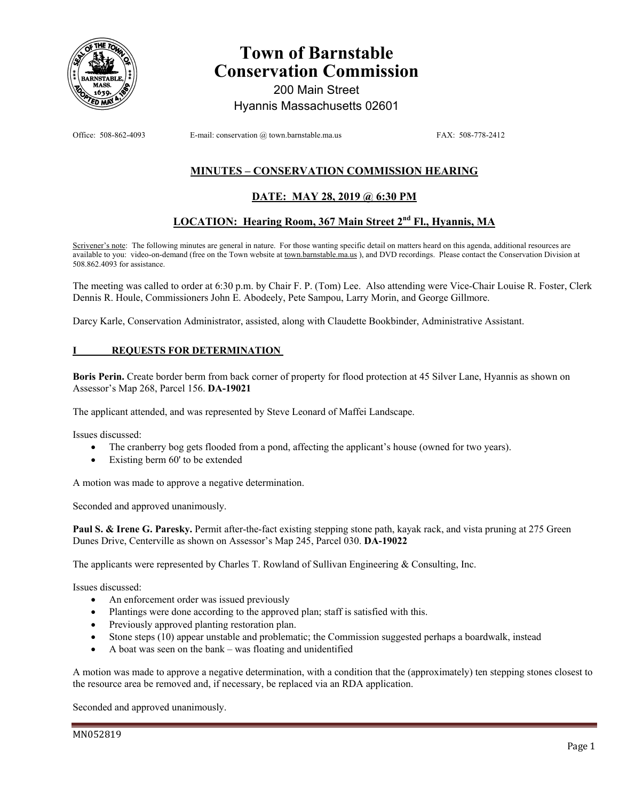

# **Town of Barnstable Conservation Commission**

200 Main Street Hyannis Massachusetts 02601

Office: 508-862-4093 E-mail: conservation @ town.barnstable.ma.us FAX: 508-778-2412

# **MINUTES – CONSERVATION COMMISSION HEARING**

# **DATE: MAY 28, 2019 @ 6:30 PM**

# **LOCATION: Hearing Room, 367 Main Street 2nd Fl., Hyannis, MA**

Scrivener's note: The following minutes are general in nature. For those wanting specific detail on matters heard on this agenda, additional resources are available to you: video-on-demand (free on the Town website at town.barnstable.ma.us), and DVD recordings. Please contact the Conservation Division at 508.862.4093 for assistance.

The meeting was called to order at 6:30 p.m. by Chair F. P. (Tom) Lee. Also attending were Vice-Chair Louise R. Foster, Clerk Dennis R. Houle, Commissioners John E. Abodeely, Pete Sampou, Larry Morin, and George Gillmore.

Darcy Karle, Conservation Administrator, assisted, along with Claudette Bookbinder, Administrative Assistant.

## **REQUESTS FOR DETERMINATION**

**Boris Perin.** Create border berm from back corner of property for flood protection at 45 Silver Lane, Hyannis as shown on Assessor's Map 268, Parcel 156. **DA-19021** 

The applicant attended, and was represented by Steve Leonard of Maffei Landscape.

Issues discussed:

- The cranberry bog gets flooded from a pond, affecting the applicant's house (owned for two years).
- Existing berm 60' to be extended

A motion was made to approve a negative determination.

Seconded and approved unanimously.

**Paul S. & Irene G. Paresky.** Permit after-the-fact existing stepping stone path, kayak rack, and vista pruning at 275 Green Dunes Drive, Centerville as shown on Assessor's Map 245, Parcel 030. **DA-19022** 

The applicants were represented by Charles T. Rowland of Sullivan Engineering & Consulting, Inc.

Issues discussed:

- An enforcement order was issued previously
- Plantings were done according to the approved plan; staff is satisfied with this.
- Previously approved planting restoration plan.
- Stone steps (10) appear unstable and problematic; the Commission suggested perhaps a boardwalk, instead
- A boat was seen on the bank was floating and unidentified

A motion was made to approve a negative determination, with a condition that the (approximately) ten stepping stones closest to the resource area be removed and, if necessary, be replaced via an RDA application.

Seconded and approved unanimously.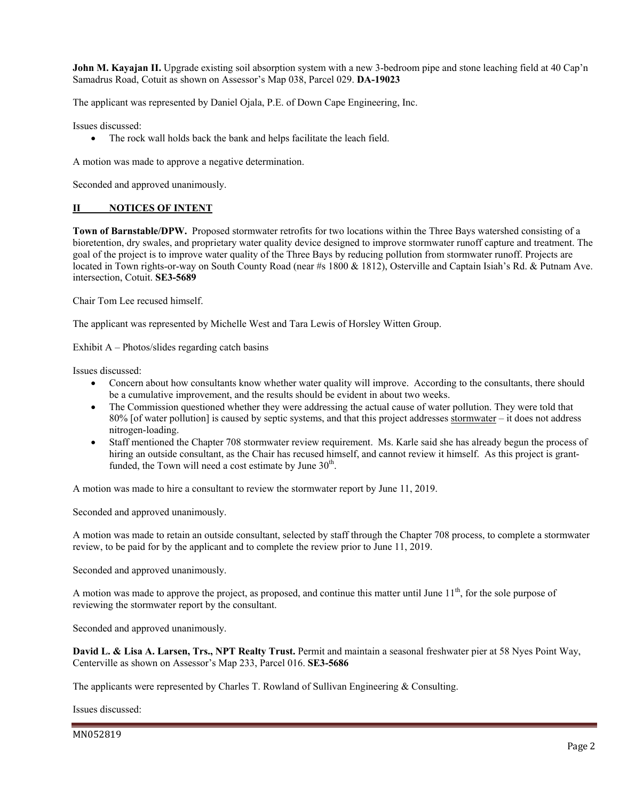**John M. Kayajan II.** Upgrade existing soil absorption system with a new 3-bedroom pipe and stone leaching field at 40 Cap'n Samadrus Road, Cotuit as shown on Assessor's Map 038, Parcel 029. **DA-19023** 

The applicant was represented by Daniel Ojala, P.E. of Down Cape Engineering, Inc.

Issues discussed:

• The rock wall holds back the bank and helps facilitate the leach field.

A motion was made to approve a negative determination.

Seconded and approved unanimously.

## **II NOTICES OF INTENT**

**Town of Barnstable/DPW.** Proposed stormwater retrofits for two locations within the Three Bays watershed consisting of a bioretention, dry swales, and proprietary water quality device designed to improve stormwater runoff capture and treatment. The goal of the project is to improve water quality of the Three Bays by reducing pollution from stormwater runoff. Projects are located in Town rights-or-way on South County Road (near #s 1800 & 1812), Osterville and Captain Isiah's Rd. & Putnam Ave. intersection, Cotuit. **SE3-5689** 

Chair Tom Lee recused himself.

The applicant was represented by Michelle West and Tara Lewis of Horsley Witten Group.

Exhibit A – Photos/slides regarding catch basins

Issues discussed:

- Concern about how consultants know whether water quality will improve. According to the consultants, there should be a cumulative improvement, and the results should be evident in about two weeks.
- The Commission questioned whether they were addressing the actual cause of water pollution. They were told that 80% [of water pollution] is caused by septic systems, and that this project addresses stormwater – it does not address nitrogen-loading.
- Staff mentioned the Chapter 708 stormwater review requirement. Ms. Karle said she has already begun the process of hiring an outside consultant, as the Chair has recused himself, and cannot review it himself. As this project is grantfunded, the Town will need a cost estimate by June  $30<sup>th</sup>$ .

A motion was made to hire a consultant to review the stormwater report by June 11, 2019.

Seconded and approved unanimously.

A motion was made to retain an outside consultant, selected by staff through the Chapter 708 process, to complete a stormwater review, to be paid for by the applicant and to complete the review prior to June 11, 2019.

Seconded and approved unanimously.

A motion was made to approve the project, as proposed, and continue this matter until June  $11<sup>th</sup>$ , for the sole purpose of reviewing the stormwater report by the consultant.

Seconded and approved unanimously.

**David L. & Lisa A. Larsen, Trs., NPT Realty Trust.** Permit and maintain a seasonal freshwater pier at 58 Nyes Point Way, Centerville as shown on Assessor's Map 233, Parcel 016. **SE3-5686**

The applicants were represented by Charles T. Rowland of Sullivan Engineering & Consulting.

Issues discussed: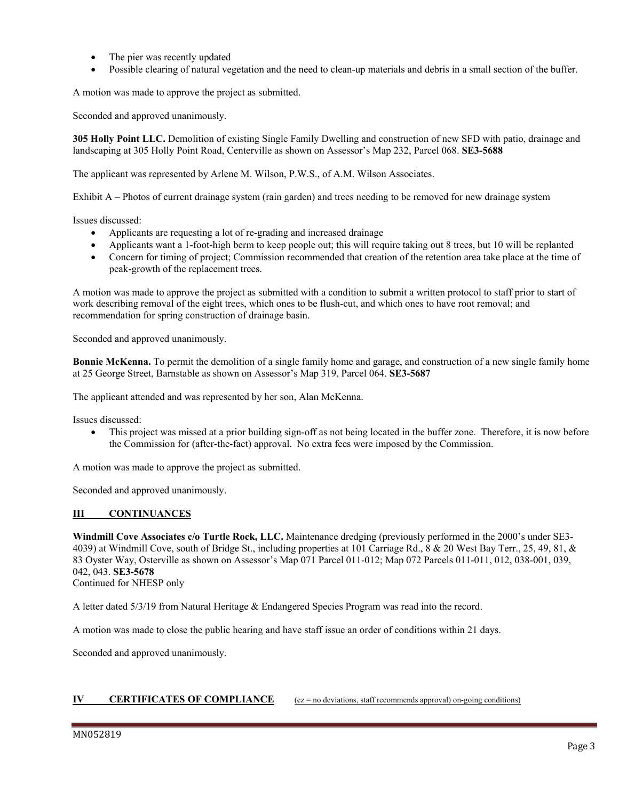- The pier was recently updated
- Possible clearing of natural vegetation and the need to clean-up materials and debris in a small section of the buffer.

A motion was made to approve the project as submitted.

Seconded and approved unanimously.

**305 Holly Point LLC.** Demolition of existing Single Family Dwelling and construction of new SFD with patio, drainage and landscaping at 305 Holly Point Road, Centerville as shown on Assessor's Map 232, Parcel 068. **SE3-5688**

The applicant was represented by Arlene M. Wilson, P.W.S., of A.M. Wilson Associates.

Exhibit A – Photos of current drainage system (rain garden) and trees needing to be removed for new drainage system

Issues discussed:

- Applicants are requesting a lot of re-grading and increased drainage
- Applicants want a 1-foot-high berm to keep people out; this will require taking out 8 trees, but 10 will be replanted
- Concern for timing of project; Commission recommended that creation of the retention area take place at the time of peak-growth of the replacement trees.

A motion was made to approve the project as submitted with a condition to submit a written protocol to staff prior to start of work describing removal of the eight trees, which ones to be flush-cut, and which ones to have root removal; and recommendation for spring construction of drainage basin.

Seconded and approved unanimously.

**Bonnie McKenna.** To permit the demolition of a single family home and garage, and construction of a new single family home at 25 George Street, Barnstable as shown on Assessor's Map 319, Parcel 064. **SE3-5687** 

The applicant attended and was represented by her son, Alan McKenna.

Issues discussed:

 This project was missed at a prior building sign-off as not being located in the buffer zone. Therefore, it is now before the Commission for (after-the-fact) approval. No extra fees were imposed by the Commission.

A motion was made to approve the project as submitted.

Seconded and approved unanimously.

## **III CONTINUANCES**

**Windmill Cove Associates c/o Turtle Rock, LLC.** Maintenance dredging (previously performed in the 2000's under SE3- 4039) at Windmill Cove, south of Bridge St., including properties at 101 Carriage Rd., 8 & 20 West Bay Terr., 25, 49, 81, & 83 Oyster Way, Osterville as shown on Assessor's Map 071 Parcel 011-012; Map 072 Parcels 011-011, 012, 038-001, 039, 042, 043. **SE3-5678**  Continued for NHESP only

A letter dated 5/3/19 from Natural Heritage & Endangered Species Program was read into the record.

A motion was made to close the public hearing and have staff issue an order of conditions within 21 days.

Seconded and approved unanimously.

#### **IV CERTIFICATES OF COMPLIANCE** (ez = no deviations, staff recommends approval) on-going conditions)